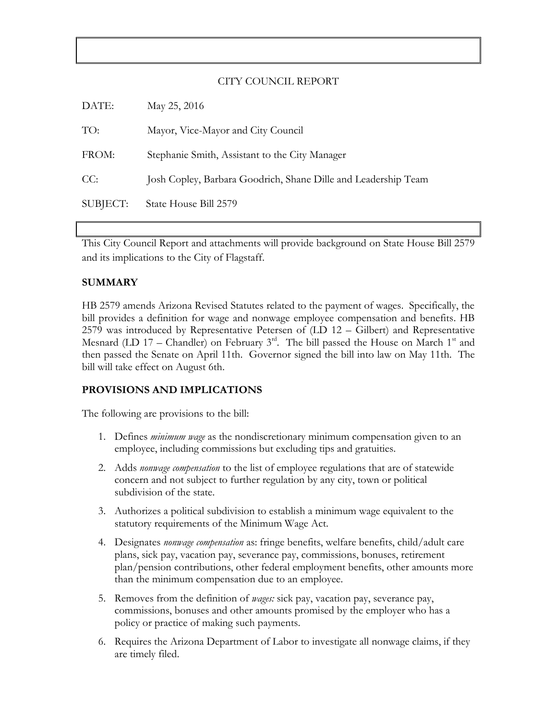### CITY COUNCIL REPORT

| DATE:    | May 25, 2016                                                   |
|----------|----------------------------------------------------------------|
| TO:      | Mayor, Vice-Mayor and City Council                             |
| FROM:    | Stephanie Smith, Assistant to the City Manager                 |
| CC:      | Josh Copley, Barbara Goodrich, Shane Dille and Leadership Team |
| SUBJECT: | State House Bill 2579                                          |

This City Council Report and attachments will provide background on State House Bill 2579 and its implications to the City of Flagstaff.

### **SUMMARY**

HB 2579 amends Arizona Revised Statutes related to the payment of wages. Specifically, the bill provides a definition for wage and nonwage employee compensation and benefits. HB 2579 was introduced by Representative Petersen of (LD 12 – Gilbert) and Representative Mesnard (LD 17 – Chandler) on February  $3<sup>rd</sup>$ . The bill passed the House on March 1<sup>st</sup> and then passed the Senate on April 11th. Governor signed the bill into law on May 11th. The bill will take effect on August 6th.

#### **PROVISIONS AND IMPLICATIONS**

The following are provisions to the bill:

- 1. Defines *minimum wage* as the nondiscretionary minimum compensation given to an employee, including commissions but excluding tips and gratuities.
- 2. Adds *nonwage compensation* to the list of employee regulations that are of statewide concern and not subject to further regulation by any city, town or political subdivision of the state.
- 3. Authorizes a political subdivision to establish a minimum wage equivalent to the statutory requirements of the Minimum Wage Act.
- 4. Designates *nonwage compensation* as: fringe benefits, welfare benefits, child/adult care plans, sick pay, vacation pay, severance pay, commissions, bonuses, retirement plan/pension contributions, other federal employment benefits, other amounts more than the minimum compensation due to an employee.
- 5. Removes from the definition of *wages:* sick pay, vacation pay, severance pay, commissions, bonuses and other amounts promised by the employer who has a policy or practice of making such payments.
- 6. Requires the Arizona Department of Labor to investigate all nonwage claims, if they are timely filed.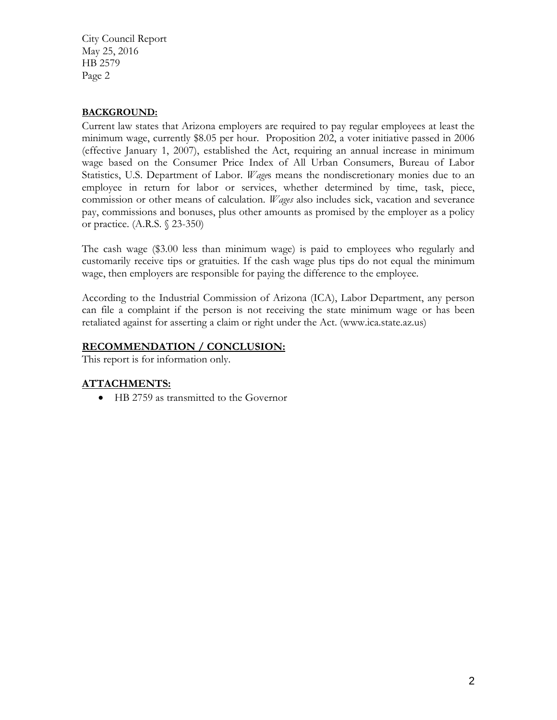City Council Report May 25, 2016 HB 2579 Page 2

## **BACKGROUND:**

Current law states that Arizona employers are required to pay regular employees at least the minimum wage, currently \$8.05 per hour. Proposition 202, a voter initiative passed in 2006 (effective January 1, 2007), established the Act, requiring an annual increase in minimum wage based on the Consumer Price Index of All Urban Consumers, Bureau of Labor Statistics, U.S. Department of Labor. *Wage*s means the nondiscretionary monies due to an employee in return for labor or services, whether determined by time, task, piece, commission or other means of calculation*. Wages* also includes sick, vacation and severance pay, commissions and bonuses, plus other amounts as promised by the employer as a policy or practice. (A.R.S. § 23-350)

The cash wage (\$3.00 less than minimum wage) is paid to employees who regularly and customarily receive tips or gratuities. If the cash wage plus tips do not equal the minimum wage, then employers are responsible for paying the difference to the employee.

According to the Industrial Commission of Arizona (ICA), Labor Department, any person can file a complaint if the person is not receiving the state minimum wage or has been retaliated against for asserting a claim or right under the Act. (www.ica.state.az.us)

# **RECOMMENDATION / CONCLUSION:**

This report is for information only.

# **ATTACHMENTS:**

• HB 2759 as transmitted to the Governor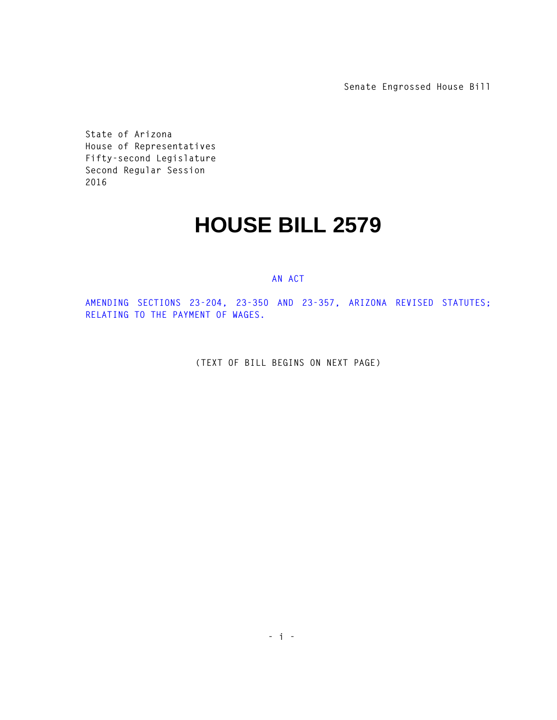**Senate Engrossed House Bill**

**State of Arizona House of Representatives Fifty-second Legislature Second Regular Session 2016** 

# **HOUSE BILL 2579**

#### **AN ACT**

**AMENDING SECTIONS 23-204, 23-350 AND 23-357, ARIZONA REVISED STATUTES; RELATING TO THE PAYMENT OF WAGES.** 

**(TEXT OF BILL BEGINS ON NEXT PAGE)**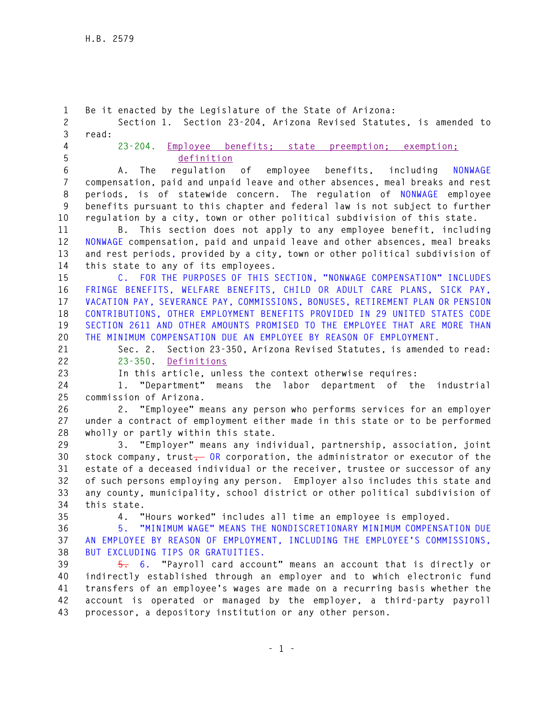**1 Be it enacted by the Legislature of the State of Arizona: 2 Section 1. Section 23-204, Arizona Revised Statutes, is amended to 3 read: 4 23-204. Employee benefits; state preemption; exemption; 5 definition 6 A. The regulation of employee benefits, including NONWAGE 7 compensation, paid and unpaid leave and other absences, meal breaks and rest 8 periods, is of statewide concern. The regulation of NONWAGE employee 9 benefits pursuant to this chapter and federal law is not subject to further 10 regulation by a city, town or other political subdivision of this state. 11 B. This section does not apply to any employee benefit, including 12 NONWAGE compensation, paid and unpaid leave and other absences, meal breaks 13 and rest periods, provided by a city, town or other political subdivision of 14 this state to any of its employees. 15 C. FOR THE PURPOSES OF THIS SECTION, "NONWAGE COMPENSATION" INCLUDES 16 FRINGE BENEFITS, WELFARE BENEFITS, CHILD OR ADULT CARE PLANS, SICK PAY, 17 VACATION PAY, SEVERANCE PAY, COMMISSIONS, BONUSES, RETIREMENT PLAN OR PENSION 18 CONTRIBUTIONS, OTHER EMPLOYMENT BENEFITS PROVIDED IN 29 UNITED STATES CODE 19 SECTION 2611 AND OTHER AMOUNTS PROMISED TO THE EMPLOYEE THAT ARE MORE THAN 20 THE MINIMUM COMPENSATION DUE AN EMPLOYEE BY REASON OF EMPLOYMENT. 21 Sec. 2. Section 23-350, Arizona Revised Statutes, is amended to read: 22 23-350. Definitions 23 In this article, unless the context otherwise requires: 24 1. "Department" means the labor department of the industrial 25 commission of Arizona. 26 2. "Employee" means any person who performs services for an employer 27 under a contract of employment either made in this state or to be performed 28 wholly or partly within this state. 29 3. "Employer" means any individual, partnership, association, joint 30 stock company, trust, OR corporation, the administrator or executor of the 31 estate of a deceased individual or the receiver, trustee or successor of any 32 of such persons employing any person. Employer also includes this state and 33 any county, municipality, school district or other political subdivision of 34 this state. 35 4. "Hours worked" includes all time an employee is employed. 36 5. "MINIMUM WAGE" MEANS THE NONDISCRETIONARY MINIMUM COMPENSATION DUE 37 AN EMPLOYEE BY REASON OF EMPLOYMENT, INCLUDING THE EMPLOYEE'S COMMISSIONS, 38 BUT EXCLUDING TIPS OR GRATUITIES. 39 5. 6. "Payroll card account" means an account that is directly or 40 indirectly established through an employer and to which electronic fund 41 transfers of an employee's wages are made on a recurring basis whether the 42 account is operated or managed by the employer, a third-party payroll 43 processor, a depository institution or any other person.**